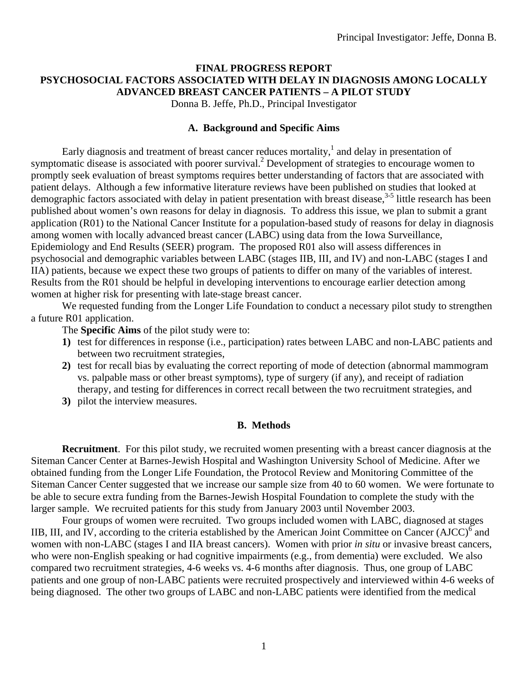# **FINAL PROGRESS REPORT PSYCHOSOCIAL FACTORS ASSOCIATED WITH DELAY IN DIAGNOSIS AMONG LOCALLY ADVANCED BREAST CANCER PATIENTS – A PILOT STUDY**

Donna B. Jeffe, Ph.D., Principal Investigator

## **A. Background and Specific Aims**

Early diagnosis and treatment of breast cancer reduces mortality, $<sup>1</sup>$  and delay in presentation of</sup> symptomatic disease is associated with poorer survival.<sup>2</sup> Development of strategies to encourage women to promptly seek evaluation of breast symptoms requires better understanding of factors that are associated with patient delays. Although a few informative literature reviews have been published on studies that looked at demographic factors associated with delay in patient presentation with breast disease,<sup>3-5</sup> little research has been published about women's own reasons for delay in diagnosis. To address this issue, we plan to submit a grant application (R01) to the National Cancer Institute for a population-based study of reasons for delay in diagnosis among women with locally advanced breast cancer (LABC) using data from the Iowa Surveillance, Epidemiology and End Results (SEER) program. The proposed R01 also will assess differences in psychosocial and demographic variables between LABC (stages IIB, III, and IV) and non-LABC (stages I and IIA) patients, because we expect these two groups of patients to differ on many of the variables of interest. Results from the R01 should be helpful in developing interventions to encourage earlier detection among women at higher risk for presenting with late-stage breast cancer.

We requested funding from the Longer Life Foundation to conduct a necessary pilot study to strengthen a future R01 application.

The **Specific Aims** of the pilot study were to:

- **1)** test for differences in response (i.e., participation) rates between LABC and non-LABC patients and between two recruitment strategies,
- **2)** test for recall bias by evaluating the correct reporting of mode of detection (abnormal mammogram vs. palpable mass or other breast symptoms), type of surgery (if any), and receipt of radiation therapy, and testing for differences in correct recall between the two recruitment strategies, and
- **3)** pilot the interview measures.

## **B. Methods**

**Recruitment**. For this pilot study, we recruited women presenting with a breast cancer diagnosis at the Siteman Cancer Center at Barnes-Jewish Hospital and Washington University School of Medicine. After we obtained funding from the Longer Life Foundation, the Protocol Review and Monitoring Committee of the Siteman Cancer Center suggested that we increase our sample size from 40 to 60 women. We were fortunate to be able to secure extra funding from the Barnes-Jewish Hospital Foundation to complete the study with the larger sample. We recruited patients for this study from January 2003 until November 2003.

Four groups of women were recruited. Two groups included women with LABC, diagnosed at stages IIB, III, and IV, according to the criteria established by the American Joint Committee on Cancer  $(AJCC)^6$  and women with non-LABC (stages I and IIA breast cancers). Women with prior *in situ* or invasive breast cancers, who were non-English speaking or had cognitive impairments (e.g., from dementia) were excluded. We also compared two recruitment strategies, 4-6 weeks vs. 4-6 months after diagnosis. Thus, one group of LABC patients and one group of non-LABC patients were recruited prospectively and interviewed within 4-6 weeks of being diagnosed. The other two groups of LABC and non-LABC patients were identified from the medical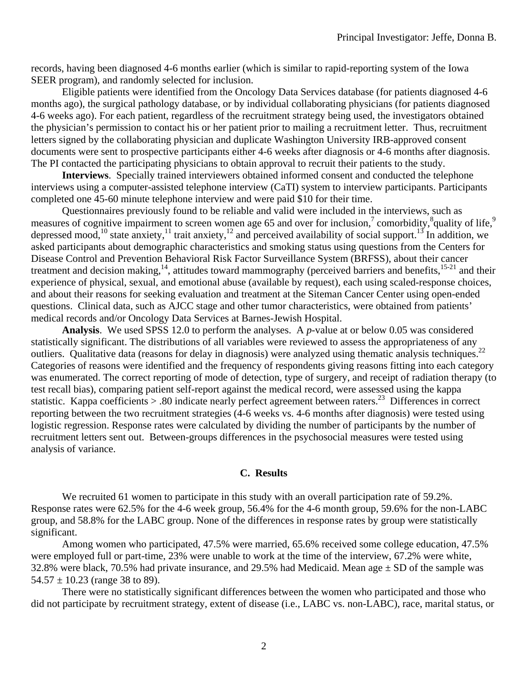records, having been diagnosed 4-6 months earlier (which is similar to rapid-reporting system of the Iowa SEER program), and randomly selected for inclusion.

Eligible patients were identified from the Oncology Data Services database (for patients diagnosed 4-6 months ago), the surgical pathology database, or by individual collaborating physicians (for patients diagnosed 4-6 weeks ago). For each patient, regardless of the recruitment strategy being used, the investigators obtained the physician's permission to contact his or her patient prior to mailing a recruitment letter. Thus, recruitment letters signed by the collaborating physician and duplicate Washington University IRB-approved consent documents were sent to prospective participants either 4-6 weeks after diagnosis or 4-6 months after diagnosis. The PI contacted the participating physicians to obtain approval to recruit their patients to the study.

**Interviews**. Specially trained interviewers obtained informed consent and conducted the telephone interviews using a computer-assisted telephone interview (CaTI) system to interview participants. Participants completed one 45-60 minute telephone interview and were paid \$10 for their time.

Questionnaires previously found to be reliable and valid were included in the interviews, such as measures of cognitive impairment to screen women age 65 and over for inclusion,<sup>7</sup> comorbidity, $^8$ quality of life, $^9$ depressed mood,<sup>10</sup> state anxiety,<sup>11</sup> trait anxiety,<sup>12</sup> and perceived availability of social support.<sup>13</sup> In addition, we asked participants about demographic characteristics and smoking status using questions from the Centers for Disease Control and Prevention Behavioral Risk Factor Surveillance System (BRFSS), about their cancer treatment and decision making,<sup>14</sup>, attitudes toward mammography (perceived barriers and benefits,  $15-21$  and their experience of physical, sexual, and emotional abuse (available by request), each using scaled-response choices, and about their reasons for seeking evaluation and treatment at the Siteman Cancer Center using open-ended questions. Clinical data, such as AJCC stage and other tumor characteristics, were obtained from patients' medical records and/or Oncology Data Services at Barnes-Jewish Hospital.

**Analysis**. We used SPSS 12.0 to perform the analyses. A *p*-value at or below 0.05 was considered statistically significant. The distributions of all variables were reviewed to assess the appropriateness of any outliers. Qualitative data (reasons for delay in diagnosis) were analyzed using thematic analysis techniques.<sup>22</sup> Categories of reasons were identified and the frequency of respondents giving reasons fitting into each category was enumerated. The correct reporting of mode of detection, type of surgery, and receipt of radiation therapy (to test recall bias), comparing patient self-report against the medical record, were assessed using the kappa statistic. Kappa coefficients > .80 indicate nearly perfect agreement between raters.<sup>23</sup> Differences in correct reporting between the two recruitment strategies (4-6 weeks vs. 4-6 months after diagnosis) were tested using logistic regression. Response rates were calculated by dividing the number of participants by the number of recruitment letters sent out. Between-groups differences in the psychosocial measures were tested using analysis of variance.

#### **C. Results**

We recruited 61 women to participate in this study with an overall participation rate of 59.2%. Response rates were 62.5% for the 4-6 week group, 56.4% for the 4-6 month group, 59.6% for the non-LABC group, and 58.8% for the LABC group. None of the differences in response rates by group were statistically significant.

Among women who participated, 47.5% were married, 65.6% received some college education, 47.5% were employed full or part-time, 23% were unable to work at the time of the interview, 67.2% were white, 32.8% were black, 70.5% had private insurance, and 29.5% had Medicaid. Mean age  $\pm$  SD of the sample was  $54.57 \pm 10.23$  (range 38 to 89).

There were no statistically significant differences between the women who participated and those who did not participate by recruitment strategy, extent of disease (i.e., LABC vs. non-LABC), race, marital status, or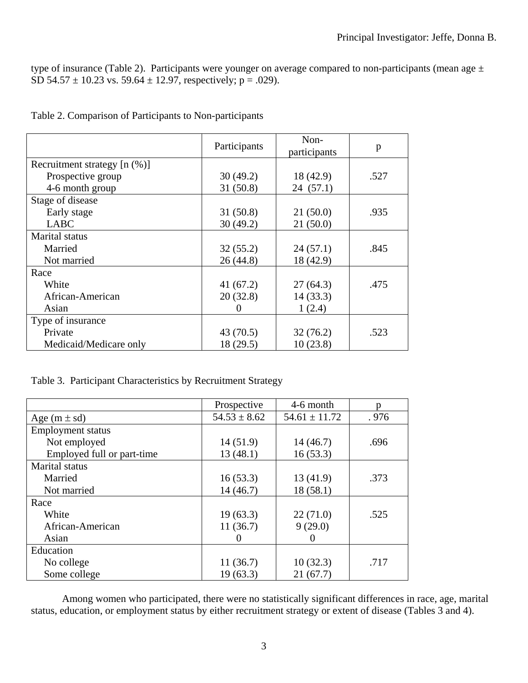type of insurance (Table 2). Participants were younger on average compared to non-participants (mean age  $\pm$ SD  $54.57 \pm 10.23$  vs.  $59.64 \pm 12.97$ , respectively; p = .029).

|                                | Participants | Non-<br>participants | p    |
|--------------------------------|--------------|----------------------|------|
| Recruitment strategy $[n (%)]$ |              |                      |      |
| Prospective group              | 30(49.2)     | 18 (42.9)            | .527 |
| 4-6 month group                | 31(50.8)     | 24(57.1)             |      |
| Stage of disease               |              |                      |      |
| Early stage                    | 31(50.8)     | 21(50.0)             | .935 |
| <b>LABC</b>                    | 30(49.2)     | 21(50.0)             |      |
| <b>Marital</b> status          |              |                      |      |
| Married                        | 32(55.2)     | 24(57.1)             | .845 |
| Not married                    | 26(44.8)     | 18 (42.9)            |      |
| Race                           |              |                      |      |
| White                          | 41(67.2)     | 27(64.3)             | .475 |
| African-American               | 20(32.8)     | 14(33.3)             |      |
| Asian                          | $\theta$     | 1(2.4)               |      |
| Type of insurance              |              |                      |      |
| Private                        | 43 (70.5)    | 32(76.2)             | .523 |
| Medicaid/Medicare only         | 18 (29.5)    | 10(23.8)             |      |

Table 2. Comparison of Participants to Non-participants

Table 3. Participant Characteristics by Recruitment Strategy

|                            | Prospective      | 4-6 month         |      |
|----------------------------|------------------|-------------------|------|
| Age $(m \pm sd)$           | $54.53 \pm 8.62$ | $54.61 \pm 11.72$ | .976 |
| <b>Employment status</b>   |                  |                   |      |
| Not employed               | 14(51.9)         | 14(46.7)          | .696 |
| Employed full or part-time | 13(48.1)         | 16(53.3)          |      |
| <b>Marital</b> status      |                  |                   |      |
| Married                    | 16(53.3)         | 13(41.9)          | .373 |
| Not married                | 14(46.7)         | 18(58.1)          |      |
| Race                       |                  |                   |      |
| White                      | 19(63.3)         | 22(71.0)          | .525 |
| African-American           | 11(36.7)         | 9(29.0)           |      |
| Asian                      |                  | O                 |      |
| Education                  |                  |                   |      |
| No college                 | 11(36.7)         | 10(32.3)          | .717 |
| Some college               | 19(63.3)         | 21(67.7)          |      |

Among women who participated, there were no statistically significant differences in race, age, marital status, education, or employment status by either recruitment strategy or extent of disease (Tables 3 and 4).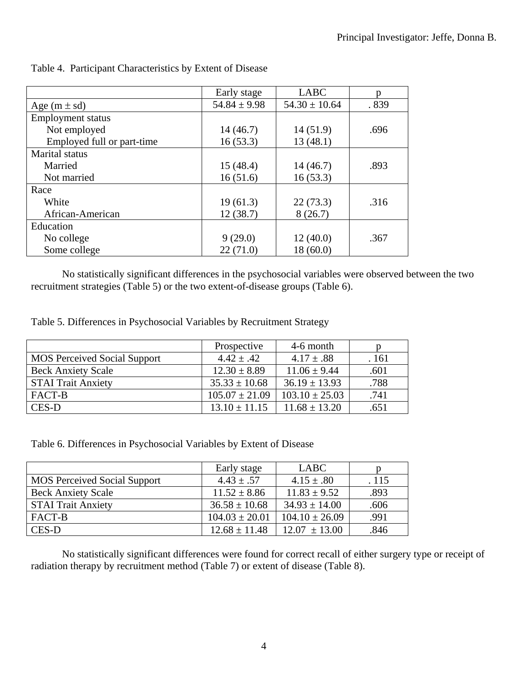|                            | Early stage      | <b>LABC</b>       | n    |
|----------------------------|------------------|-------------------|------|
| Age $(m \pm sd)$           | $54.84 \pm 9.98$ | $54.30 \pm 10.64$ | .839 |
| <b>Employment status</b>   |                  |                   |      |
| Not employed               | 14(46.7)         | 14(51.9)          | .696 |
| Employed full or part-time | 16(53.3)         | 13(48.1)          |      |
| <b>Marital</b> status      |                  |                   |      |
| Married                    | 15(48.4)         | 14(46.7)          | .893 |
| Not married                | 16(51.6)         | 16(53.3)          |      |
| Race                       |                  |                   |      |
| White                      | 19(61.3)         | 22(73.3)          | .316 |
| African-American           | 12(38.7)         | 8(26.7)           |      |
| Education                  |                  |                   |      |
| No college                 | 9(29.0)          | 12(40.0)          | .367 |
| Some college               | 22(71.0)         | 18(60.0)          |      |

Table 4. Participant Characteristics by Extent of Disease

No statistically significant differences in the psychosocial variables were observed between the two recruitment strategies (Table 5) or the two extent-of-disease groups (Table 6).

Table 5. Differences in Psychosocial Variables by Recruitment Strategy

|                                     | Prospective        | 4-6 month          |       |
|-------------------------------------|--------------------|--------------------|-------|
| <b>MOS</b> Perceived Social Support | $4.42 \pm .42$     | $4.17 \pm .88$     | . 161 |
| <b>Beck Anxiety Scale</b>           | $12.30 \pm 8.89$   | $11.06 \pm 9.44$   | .601  |
| <b>STAI Trait Anxiety</b>           | $35.33 \pm 10.68$  | $36.19 \pm 13.93$  | .788  |
| FACT-B                              | $105.07 \pm 21.09$ | $103.10 \pm 25.03$ | .741  |
| <b>CES-D</b>                        | $13.10 \pm 11.15$  | $11.68 \pm 13.20$  | .651  |

Table 6. Differences in Psychosocial Variables by Extent of Disease

|                                     | Early stage        | LABC               |       |
|-------------------------------------|--------------------|--------------------|-------|
| <b>MOS</b> Perceived Social Support | $4.43 \pm .57$     | $4.15 \pm .80$     | . 115 |
| <b>Beck Anxiety Scale</b>           | $11.52 \pm 8.86$   | $11.83 \pm 9.52$   | .893  |
| <b>STAI Trait Anxiety</b>           | $36.58 \pm 10.68$  | $34.93 \pm 14.00$  | .606  |
| FACT-B                              | $104.03 \pm 20.01$ | $104.10 \pm 26.09$ | .991  |
| CES-D                               | $12.68 \pm 11.48$  | $12.07 + 13.00$    | .846  |

No statistically significant differences were found for correct recall of either surgery type or receipt of radiation therapy by recruitment method (Table 7) or extent of disease (Table 8).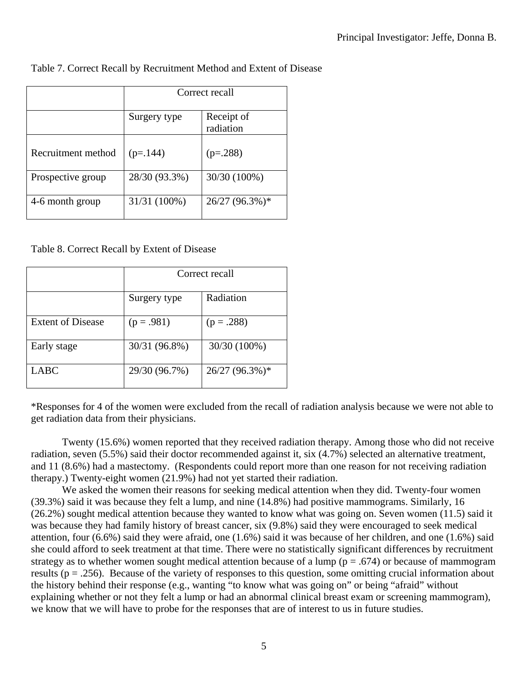|                    | Correct recall |                         |
|--------------------|----------------|-------------------------|
|                    | Surgery type   | Receipt of<br>radiation |
| Recruitment method | $(p=.144)$     | $(p=.288)$              |
| Prospective group  | 28/30 (93.3%)  | 30/30 (100%)            |
| 4-6 month group    | 31/31 (100%)   | 26/27 (96.3%)*          |

## Table 7. Correct Recall by Recruitment Method and Extent of Disease

Table 8. Correct Recall by Extent of Disease

|                          | Correct recall |                  |
|--------------------------|----------------|------------------|
|                          | Surgery type   | Radiation        |
| <b>Extent of Disease</b> | $(p=.981)$     | $(p=.288)$       |
| Early stage              | 30/31 (96.8%)  | 30/30 (100%)     |
| LABC                     | 29/30 (96.7%)  | $26/27$ (96.3%)* |

\*Responses for 4 of the women were excluded from the recall of radiation analysis because we were not able to get radiation data from their physicians.

Twenty (15.6%) women reported that they received radiation therapy. Among those who did not receive radiation, seven (5.5%) said their doctor recommended against it, six (4.7%) selected an alternative treatment, and 11 (8.6%) had a mastectomy. (Respondents could report more than one reason for not receiving radiation therapy.) Twenty-eight women (21.9%) had not yet started their radiation.

We asked the women their reasons for seeking medical attention when they did. Twenty-four women (39.3%) said it was because they felt a lump, and nine (14.8%) had positive mammograms. Similarly, 16 (26.2%) sought medical attention because they wanted to know what was going on. Seven women (11.5) said it was because they had family history of breast cancer, six (9.8%) said they were encouraged to seek medical attention, four (6.6%) said they were afraid, one (1.6%) said it was because of her children, and one (1.6%) said she could afford to seek treatment at that time. There were no statistically significant differences by recruitment strategy as to whether women sought medical attention because of a lump ( $p = .674$ ) or because of mammogram results ( $p = .256$ ). Because of the variety of responses to this question, some omitting crucial information about the history behind their response (e.g., wanting "to know what was going on" or being "afraid" without explaining whether or not they felt a lump or had an abnormal clinical breast exam or screening mammogram), we know that we will have to probe for the responses that are of interest to us in future studies.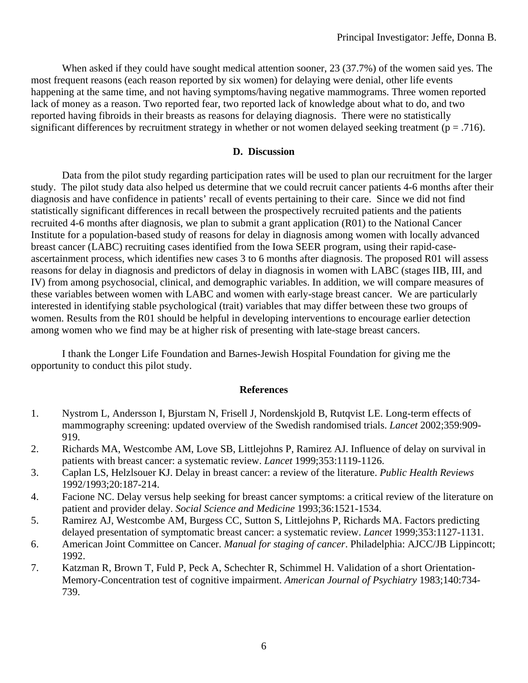When asked if they could have sought medical attention sooner, 23 (37.7%) of the women said yes. The most frequent reasons (each reason reported by six women) for delaying were denial, other life events happening at the same time, and not having symptoms/having negative mammograms. Three women reported lack of money as a reason. Two reported fear, two reported lack of knowledge about what to do, and two reported having fibroids in their breasts as reasons for delaying diagnosis. There were no statistically significant differences by recruitment strategy in whether or not women delayed seeking treatment ( $p = .716$ ).

## **D. Discussion**

Data from the pilot study regarding participation rates will be used to plan our recruitment for the larger study. The pilot study data also helped us determine that we could recruit cancer patients 4-6 months after their diagnosis and have confidence in patients' recall of events pertaining to their care. Since we did not find statistically significant differences in recall between the prospectively recruited patients and the patients recruited 4-6 months after diagnosis, we plan to submit a grant application (R01) to the National Cancer Institute for a population-based study of reasons for delay in diagnosis among women with locally advanced breast cancer (LABC) recruiting cases identified from the Iowa SEER program, using their rapid-caseascertainment process, which identifies new cases 3 to 6 months after diagnosis. The proposed R01 will assess reasons for delay in diagnosis and predictors of delay in diagnosis in women with LABC (stages IIB, III, and IV) from among psychosocial, clinical, and demographic variables. In addition, we will compare measures of these variables between women with LABC and women with early-stage breast cancer. We are particularly interested in identifying stable psychological (trait) variables that may differ between these two groups of women. Results from the R01 should be helpful in developing interventions to encourage earlier detection among women who we find may be at higher risk of presenting with late-stage breast cancers.

I thank the Longer Life Foundation and Barnes-Jewish Hospital Foundation for giving me the opportunity to conduct this pilot study.

#### **References**

- 1. Nystrom L, Andersson I, Bjurstam N, Frisell J, Nordenskjold B, Rutqvist LE. Long-term effects of mammography screening: updated overview of the Swedish randomised trials. *Lancet* 2002;359:909- 919.
- 2. Richards MA, Westcombe AM, Love SB, Littlejohns P, Ramirez AJ. Influence of delay on survival in patients with breast cancer: a systematic review. *Lancet* 1999;353:1119-1126.
- 3. Caplan LS, Helzlsouer KJ. Delay in breast cancer: a review of the literature. *Public Health Reviews*  1992/1993;20:187-214.
- 4. Facione NC. Delay versus help seeking for breast cancer symptoms: a critical review of the literature on patient and provider delay. *Social Science and Medicine* 1993;36:1521-1534.
- 5. Ramirez AJ, Westcombe AM, Burgess CC, Sutton S, Littlejohns P, Richards MA. Factors predicting delayed presentation of symptomatic breast cancer: a systematic review. *Lancet* 1999;353:1127-1131.
- 6. American Joint Committee on Cancer. *Manual for staging of cancer*. Philadelphia: AJCC/JB Lippincott; 1992.
- 7. Katzman R, Brown T, Fuld P, Peck A, Schechter R, Schimmel H. Validation of a short Orientation-Memory-Concentration test of cognitive impairment. *American Journal of Psychiatry* 1983;140:734- 739.